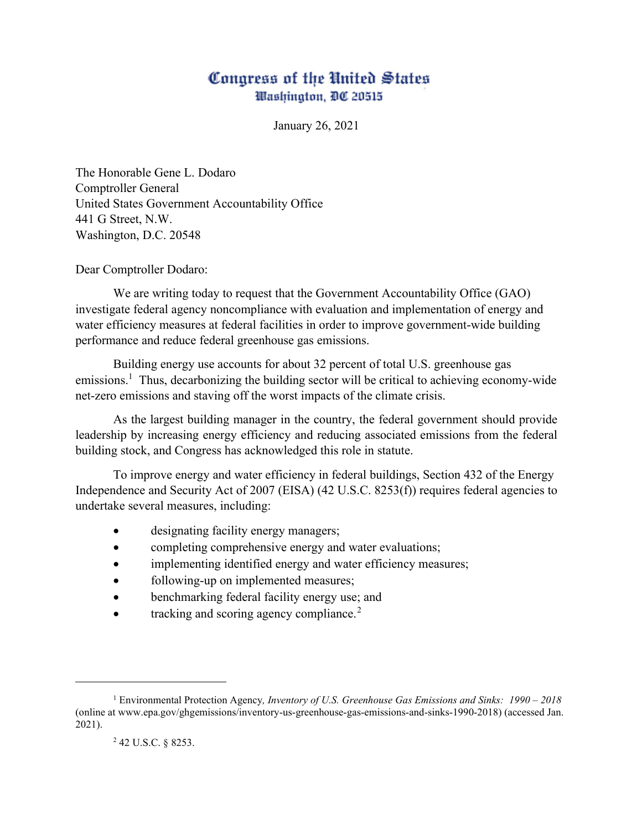## Congress of the United States Washington, DC 20515

January 26, 2021

The Honorable Gene L. Dodaro Comptroller General United States Government Accountability Office 441 G Street, N.W. Washington, D.C. 20548

Dear Comptroller Dodaro:

We are writing today to request that the Government Accountability Office (GAO) investigate federal agency noncompliance with evaluation and implementation of energy and water efficiency measures at federal facilities in order to improve government-wide building performance and reduce federal greenhouse gas emissions.

Building energy use accounts for about 32 percent of total U.S. greenhouse gas emissions.<sup>[1](#page-0-0)</sup> Thus, decarbonizing the building sector will be critical to achieving economy-wide net-zero emissions and staving off the worst impacts of the climate crisis.

As the largest building manager in the country, the federal government should provide leadership by increasing energy efficiency and reducing associated emissions from the federal building stock, and Congress has acknowledged this role in statute.

To improve energy and water efficiency in federal buildings, Section 432 of the Energy Independence and Security Act of 2007 (EISA) (42 U.S.C. 8253(f)) requires federal agencies to undertake several measures, including:

- designating facility energy managers;
- completing comprehensive energy and water evaluations;
- implementing identified energy and water efficiency measures;
- following-up on implemented measures;
- benchmarking federal facility energy use; and
- tracking and scoring agency compliance. $<sup>2</sup>$  $<sup>2</sup>$  $<sup>2</sup>$ </sup>

<span id="page-0-1"></span><span id="page-0-0"></span><sup>1</sup> Environmental Protection Agency*, Inventory of U.S. Greenhouse Gas Emissions and Sinks: 1990 – 2018* (online at www.epa.gov/ghgemissions/inventory-us-greenhouse-gas-emissions-and-sinks-1990-2018) (accessed Jan. 2021).

<sup>2</sup> 42 U.S.C. § 8253.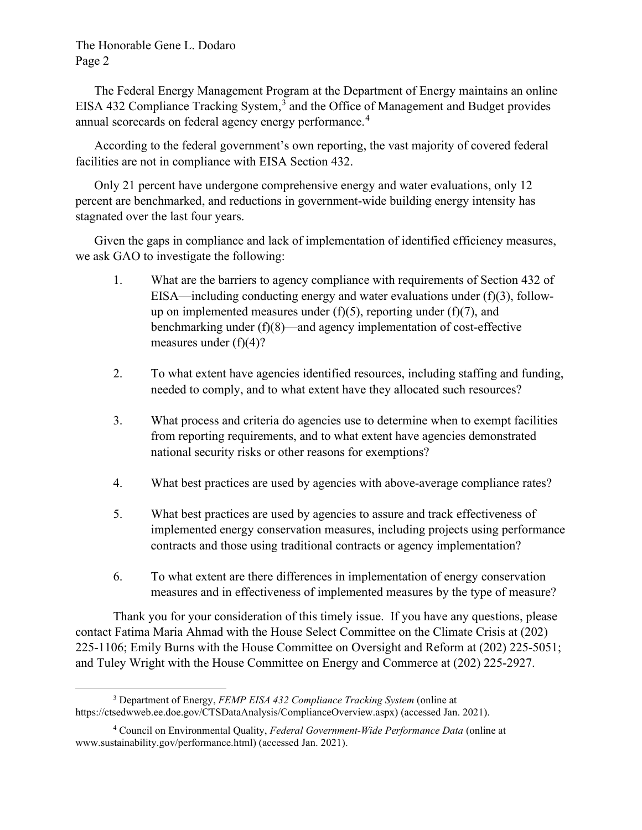## The Honorable Gene L. Dodaro Page 2

The Federal Energy Management Program at the Department of Energy maintains an online EISA 4[3](#page-1-0)2 Compliance Tracking System, $3\overline{)}$  and the Office of Management and Budget provides annual scorecards on federal agency energy performance.<sup>[4](#page-1-1)</sup>

According to the federal government's own reporting, the vast majority of covered federal facilities are not in compliance with EISA Section 432.

Only 21 percent have undergone comprehensive energy and water evaluations, only 12 percent are benchmarked, and reductions in government-wide building energy intensity has stagnated over the last four years.

Given the gaps in compliance and lack of implementation of identified efficiency measures, we ask GAO to investigate the following:

- 1. What are the barriers to agency compliance with requirements of Section 432 of EISA—including conducting energy and water evaluations under (f)(3), followup on implemented measures under  $(f)(5)$ , reporting under  $(f)(7)$ , and benchmarking under (f)(8)—and agency implementation of cost-effective measures under (f)(4)?
- 2. To what extent have agencies identified resources, including staffing and funding, needed to comply, and to what extent have they allocated such resources?
- 3. What process and criteria do agencies use to determine when to exempt facilities from reporting requirements, and to what extent have agencies demonstrated national security risks or other reasons for exemptions?
- 4. What best practices are used by agencies with above-average compliance rates?
- 5. What best practices are used by agencies to assure and track effectiveness of implemented energy conservation measures, including projects using performance contracts and those using traditional contracts or agency implementation?
- 6. To what extent are there differences in implementation of energy conservation measures and in effectiveness of implemented measures by the type of measure?

Thank you for your consideration of this timely issue. If you have any questions, please contact Fatima Maria Ahmad with the House Select Committee on the Climate Crisis at (202) 225-1106; Emily Burns with the House Committee on Oversight and Reform at (202) 225-5051; and Tuley Wright with the House Committee on Energy and Commerce at (202) 225-2927.

<span id="page-1-0"></span><sup>3</sup> Department of Energy, *FEMP EISA 432 Compliance Tracking System* (online at https://ctsedwweb.ee.doe.gov/CTSDataAnalysis/ComplianceOverview.aspx) (accessed Jan. 2021).

<span id="page-1-1"></span><sup>4</sup> Council on Environmental Quality, *Federal Government-Wide Performance Data* (online at www.sustainability.gov/performance.html) (accessed Jan. 2021).